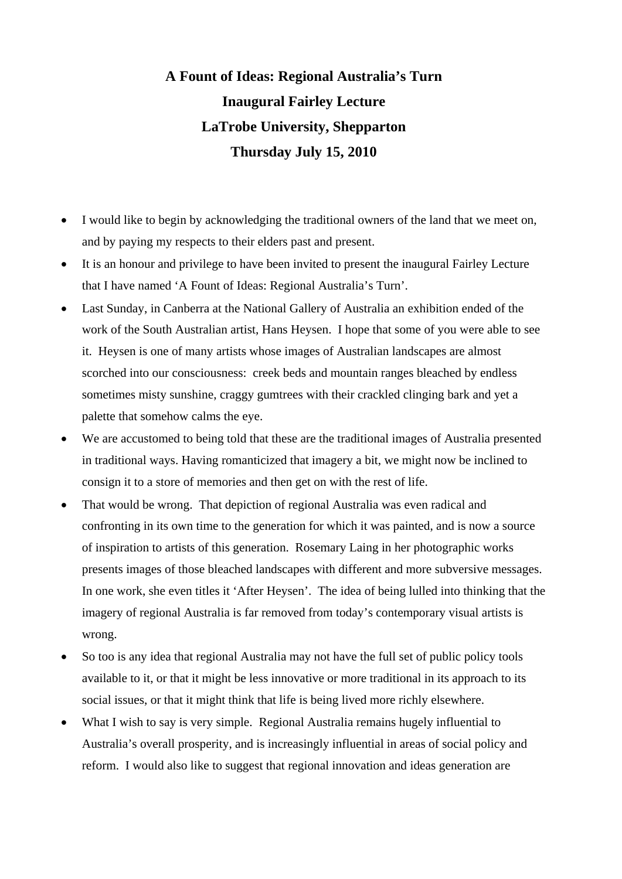## **A Fount of Ideas: Regional Australia's Turn Inaugural Fairley Lecture LaTrobe University, Shepparton Thursday July 15, 2010**

- I would like to begin by acknowledging the traditional owners of the land that we meet on, and by paying my respects to their elders past and present.
- It is an honour and privilege to have been invited to present the inaugural Fairley Lecture that I have named 'A Fount of Ideas: Regional Australia's Turn'.
- Last Sunday, in Canberra at the National Gallery of Australia an exhibition ended of the work of the South Australian artist, Hans Heysen. I hope that some of you were able to see it. Heysen is one of many artists whose images of Australian landscapes are almost scorched into our consciousness: creek beds and mountain ranges bleached by endless sometimes misty sunshine, craggy gumtrees with their crackled clinging bark and yet a palette that somehow calms the eye.
- We are accustomed to being told that these are the traditional images of Australia presented in traditional ways. Having romanticized that imagery a bit, we might now be inclined to consign it to a store of memories and then get on with the rest of life.
- That would be wrong. That depiction of regional Australia was even radical and confronting in its own time to the generation for which it was painted, and is now a source of inspiration to artists of this generation. Rosemary Laing in her photographic works presents images of those bleached landscapes with different and more subversive messages. In one work, she even titles it 'After Heysen'. The idea of being lulled into thinking that the imagery of regional Australia is far removed from today's contemporary visual artists is wrong.
- So too is any idea that regional Australia may not have the full set of public policy tools available to it, or that it might be less innovative or more traditional in its approach to its social issues, or that it might think that life is being lived more richly elsewhere.
- What I wish to say is very simple. Regional Australia remains hugely influential to Australia's overall prosperity, and is increasingly influential in areas of social policy and reform. I would also like to suggest that regional innovation and ideas generation are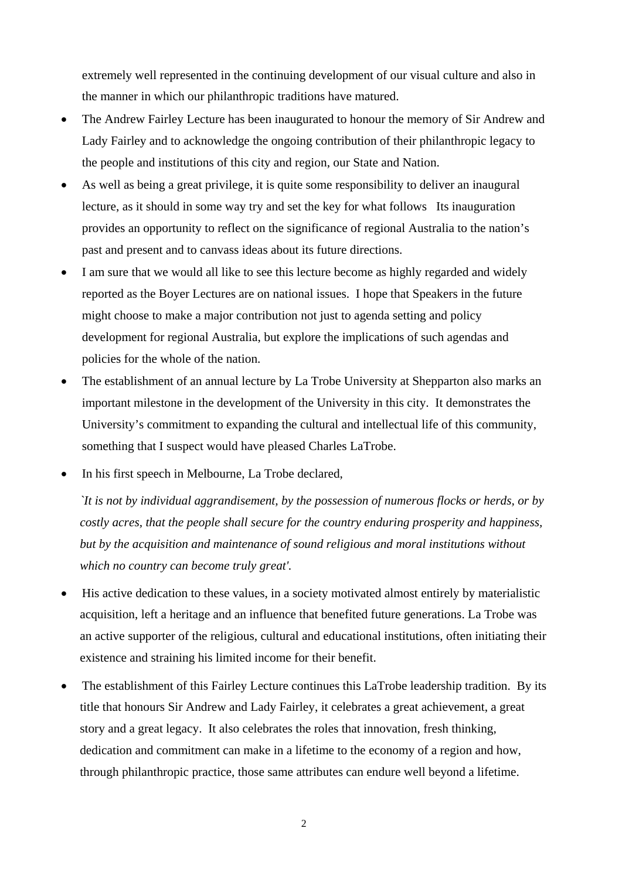extremely well represented in the continuing development of our visual culture and also in the manner in which our philanthropic traditions have matured.

- The Andrew Fairley Lecture has been inaugurated to honour the memory of Sir Andrew and Lady Fairley and to acknowledge the ongoing contribution of their philanthropic legacy to the people and institutions of this city and region, our State and Nation.
- As well as being a great privilege, it is quite some responsibility to deliver an inaugural lecture, as it should in some way try and set the key for what follows Its inauguration provides an opportunity to reflect on the significance of regional Australia to the nation's past and present and to canvass ideas about its future directions.
- I am sure that we would all like to see this lecture become as highly regarded and widely reported as the Boyer Lectures are on national issues. I hope that Speakers in the future might choose to make a major contribution not just to agenda setting and policy development for regional Australia, but explore the implications of such agendas and policies for the whole of the nation.
- The establishment of an annual lecture by La Trobe University at Shepparton also marks an important milestone in the development of the University in this city. It demonstrates the University's commitment to expanding the cultural and intellectual life of this community, something that I suspect would have pleased Charles LaTrobe.
- In his first speech in Melbourne, La Trobe declared,

*`It is not by individual aggrandisement, by the possession of numerous flocks or herds, or by costly acres, that the people shall secure for the country enduring prosperity and happiness, but by the acquisition and maintenance of sound religious and moral institutions without which no country can become truly great'.* 

- His active dedication to these values, in a society motivated almost entirely by materialistic acquisition, left a heritage and an influence that benefited future generations. La Trobe was an active supporter of the religious, cultural and educational institutions, often initiating their existence and straining his limited income for their benefit.
- The establishment of this Fairley Lecture continues this LaTrobe leadership tradition. By its title that honours Sir Andrew and Lady Fairley, it celebrates a great achievement, a great story and a great legacy. It also celebrates the roles that innovation, fresh thinking, dedication and commitment can make in a lifetime to the economy of a region and how, through philanthropic practice, those same attributes can endure well beyond a lifetime.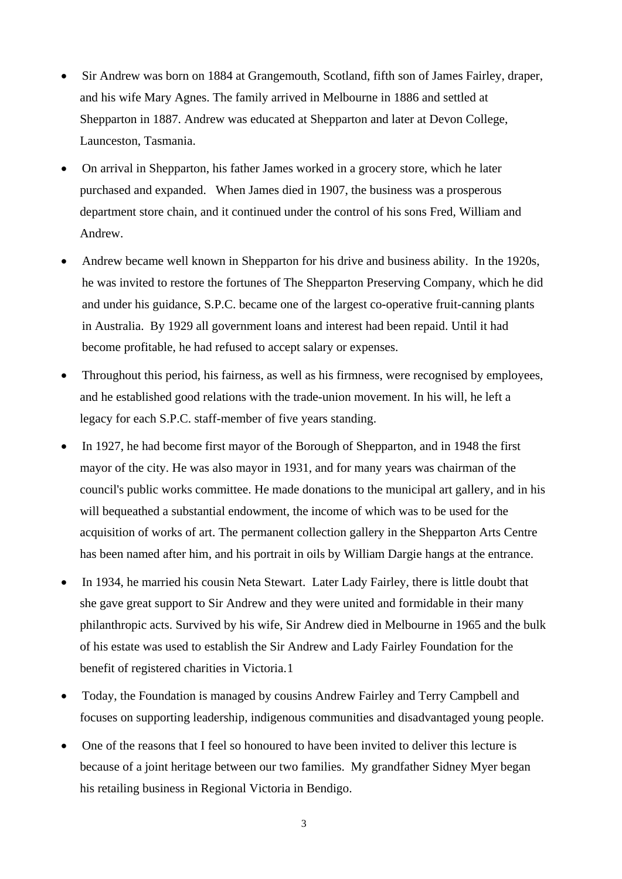- Sir Andrew was born on 1884 at Grangemouth, Scotland, fifth son of James Fairley, draper, and his wife Mary Agnes. The family arrived in Melbourne in 1886 and settled at Shepparton in 1887. Andrew was educated at Shepparton and later at Devon College, Launceston, Tasmania.
- On arrival in Shepparton, his father James worked in a grocery store, which he later purchased and expanded. When James died in 1907, the business was a prosperous department store chain, and it continued under the control of his sons Fred, William and Andrew.
- Andrew became well known in Shepparton for his drive and business ability. In the 1920s, he was invited to restore the fortunes of The Shepparton Preserving Company, which he did and under his guidance, S.P.C. became one of the largest co-operative fruit-canning plants in Australia. By 1929 all government loans and interest had been repaid. Until it had become profitable, he had refused to accept salary or expenses.
- Throughout this period, his fairness, as well as his firmness, were recognised by employees, and he established good relations with the trade-union movement. In his will, he left a legacy for each S.P.C. staff-member of five years standing.
- In 1927, he had become first mayor of the Borough of Shepparton, and in 1948 the first mayor of the city. He was also mayor in 1931, and for many years was chairman of the council's public works committee. He made donations to the municipal art gallery, and in his will bequeathed a substantial endowment, the income of which was to be used for the acquisition of works of art. The permanent collection gallery in the Shepparton Arts Centre has been named after him, and his portrait in oils by William Dargie hangs at the entrance.
- In 1934, he married his cousin Neta Stewart. Later Lady Fairley, there is little doubt that she gave great support to Sir Andrew and they were united and formidable in their many philanthropic acts. Survived by his wife, Sir Andrew died in Melbourne in 1965 and the bulk of his estate was used to establish the Sir Andrew and Lady Fairley Foundation for the benefit of registered charities in Victoria.[1](#page-14-0)
- Today, the Foundation is managed by cousins Andrew Fairley and Terry Campbell and focuses on supporting leadership, indigenous communities and disadvantaged young people.
- One of the reasons that I feel so honoured to have been invited to deliver this lecture is because of a joint heritage between our two families. My grandfather Sidney Myer began his retailing business in Regional Victoria in Bendigo.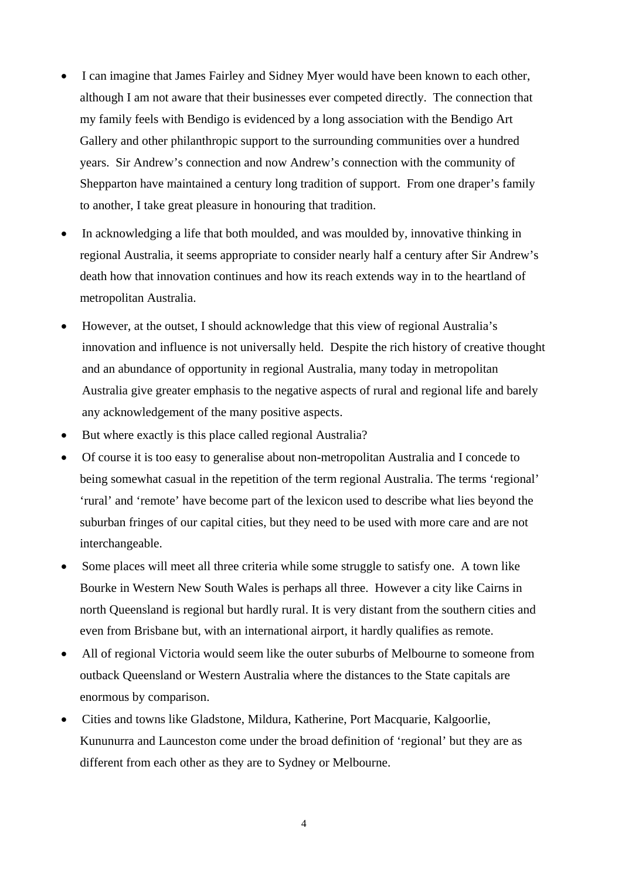- I can imagine that James Fairley and Sidney Myer would have been known to each other, although I am not aware that their businesses ever competed directly. The connection that my family feels with Bendigo is evidenced by a long association with the Bendigo Art Gallery and other philanthropic support to the surrounding communities over a hundred years. Sir Andrew's connection and now Andrew's connection with the community of Shepparton have maintained a century long tradition of support. From one draper's family to another, I take great pleasure in honouring that tradition.
- In acknowledging a life that both moulded, and was moulded by, innovative thinking in regional Australia, it seems appropriate to consider nearly half a century after Sir Andrew's death how that innovation continues and how its reach extends way in to the heartland of metropolitan Australia.
- However, at the outset, I should acknowledge that this view of regional Australia's innovation and influence is not universally held. Despite the rich history of creative thought and an abundance of opportunity in regional Australia, many today in metropolitan Australia give greater emphasis to the negative aspects of rural and regional life and barely any acknowledgement of the many positive aspects.
- But where exactly is this place called regional Australia?
- Of course it is too easy to generalise about non-metropolitan Australia and I concede to being somewhat casual in the repetition of the term regional Australia. The terms 'regional' 'rural' and 'remote' have become part of the lexicon used to describe what lies beyond the suburban fringes of our capital cities, but they need to be used with more care and are not interchangeable.
- Some places will meet all three criteria while some struggle to satisfy one. A town like Bourke in Western New South Wales is perhaps all three. However a city like Cairns in north Queensland is regional but hardly rural. It is very distant from the southern cities and even from Brisbane but, with an international airport, it hardly qualifies as remote.
- All of regional Victoria would seem like the outer suburbs of Melbourne to someone from outback Queensland or Western Australia where the distances to the State capitals are enormous by comparison.
- Cities and towns like Gladstone, Mildura, Katherine, Port Macquarie, Kalgoorlie, Kununurra and Launceston come under the broad definition of 'regional' but they are as different from each other as they are to Sydney or Melbourne.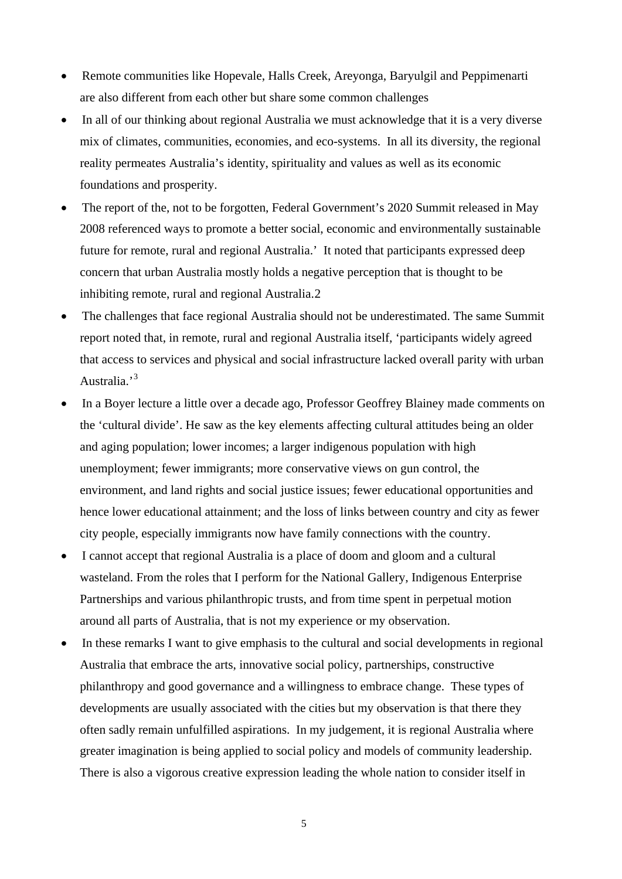- Remote communities like Hopevale, Halls Creek, Areyonga, Baryulgil and Peppimenarti are also different from each other but share some common challenges
- In all of our thinking about regional Australia we must acknowledge that it is a very diverse mix of climates, communities, economies, and eco-systems. In all its diversity, the regional reality permeates Australia's identity, spirituality and values as well as its economic foundations and prosperity.
- The report of the, not to be forgotten, Federal Government's 2020 Summit released in May 2008 referenced ways to promote a better social, economic and environmentally sustainable future for remote, rural and regional Australia.' It noted that participants expressed deep concern that urban Australia mostly holds a negative perception that is thought to be inhibiting remote, rural and regional Australia.[2](#page-14-1)
- The challenges that face regional Australia should not be underestimated. The same Summit report noted that, in remote, rural and regional Australia itself, 'participants widely agreed that access to services and physical and social infrastructure lacked overall parity with urban Australia.<sup>[3](#page-14-2)</sup>
- In a Boyer lecture a little over a decade ago, Professor Geoffrey Blainey made comments on the 'cultural divide'. He saw as the key elements affecting cultural attitudes being an older and aging population; lower incomes; a larger indigenous population with high unemployment; fewer immigrants; more conservative views on gun control, the environment, and land rights and social justice issues; fewer educational opportunities and hence lower educational attainment; and the loss of links between country and city as fewer city people, especially immigrants now have family connections with the country.
- I cannot accept that regional Australia is a place of doom and gloom and a cultural wasteland. From the roles that I perform for the National Gallery, Indigenous Enterprise Partnerships and various philanthropic trusts, and from time spent in perpetual motion around all parts of Australia, that is not my experience or my observation.
- In these remarks I want to give emphasis to the cultural and social developments in regional Australia that embrace the arts, innovative social policy, partnerships, constructive philanthropy and good governance and a willingness to embrace change. These types of developments are usually associated with the cities but my observation is that there they often sadly remain unfulfilled aspirations. In my judgement, it is regional Australia where greater imagination is being applied to social policy and models of community leadership. There is also a vigorous creative expression leading the whole nation to consider itself in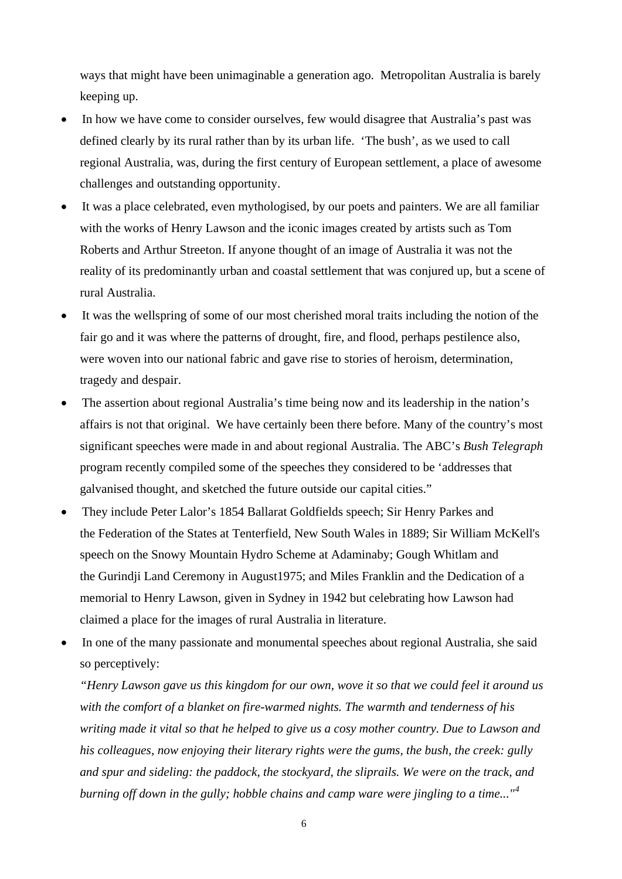ways that might have been unimaginable a generation ago. Metropolitan Australia is barely keeping up.

- In how we have come to consider ourselves, few would disagree that Australia's past was defined clearly by its rural rather than by its urban life. 'The bush', as we used to call regional Australia, was, during the first century of European settlement, a place of awesome challenges and outstanding opportunity.
- It was a place celebrated, even mythologised, by our poets and painters. We are all familiar with the works of Henry Lawson and the iconic images created by artists such as Tom Roberts and Arthur Streeton. If anyone thought of an image of Australia it was not the reality of its predominantly urban and coastal settlement that was conjured up, but a scene of rural Australia.
- It was the wellspring of some of our most cherished moral traits including the notion of the fair go and it was where the patterns of drought, fire, and flood, perhaps pestilence also, were woven into our national fabric and gave rise to stories of heroism, determination, tragedy and despair.
- The assertion about regional Australia's time being now and its leadership in the nation's affairs is not that original. We have certainly been there before. Many of the country's most significant speeches were made in and about regional Australia. The ABC's *Bush Telegraph* program recently compiled some of the speeches they considered to be 'addresses that galvanised thought, and sketched the future outside our capital cities."
- They include Peter Lalor's 1854 [Ballarat Goldfields speech](http://www.abc.net.au/rural/telegraph/speeches/lalor.htm); Sir Henry Parkes and the [Federation of the States](http://www.abc.net.au/rural/telegraph/speeches/parkes.htm) at Tenterfield, New South Wales in 1889; Sir William McKell's speech on the [Snowy Mountain Hydro Scheme](http://www.abc.net.au/rural/telegraph/speeches/mckell.htm) at Adaminaby; Gough Whitlam and the [Gurindji Land Ceremony in August1975;](http://www.abc.net.au/rural/telegraph/speeches/whitlam.htm) and Miles Franklin and the [Dedication of a](http://www.abc.net.au/rural/telegraph/speeches/franklin.htm)  [memorial to Henry Lawson,](http://www.abc.net.au/rural/telegraph/speeches/franklin.htm) given in Sydney in 1942 but celebrating how Lawson had claimed a place for the images of rural Australia in literature.
- In one of the many passionate and monumental speeches about regional Australia, she said so perceptively:

*"Henry Lawson gave us this kingdom for our own, wove it so that we could feel it around us with the comfort of a blanket on fire-warmed nights. The warmth and tenderness of his writing made it vital so that he helped to give us a cosy mother country. Due to Lawson and his colleagues, now enjoying their literary rights were the gums, the bush, the creek: gully and spur and sideling: the paddock, the stockyard, the sliprails. We were on the track, and burning off down in the gully; hobble chains and camp ware were jingling to a time..."[4](#page-14-3)*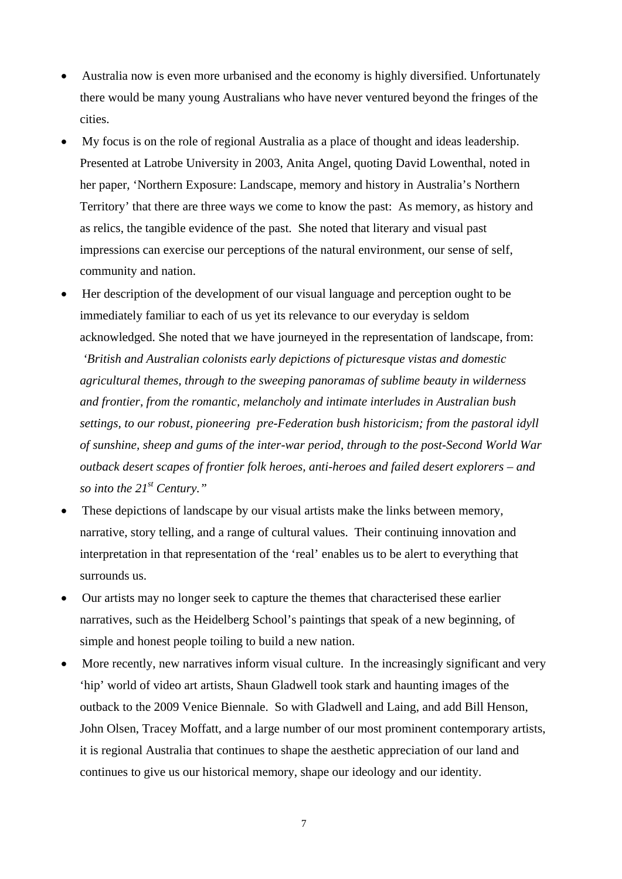- Australia now is even more urbanised and the economy is highly diversified. Unfortunately there would be many young Australians who have never ventured beyond the fringes of the cities.
- My focus is on the role of regional Australia as a place of thought and ideas leadership. Presented at Latrobe University in 2003, Anita Angel, quoting David Lowenthal, noted in her paper, 'Northern Exposure: Landscape, memory and history in Australia's Northern Territory' that there are three ways we come to know the past: As memory, as history and as relics, the tangible evidence of the past. She noted that literary and visual past impressions can exercise our perceptions of the natural environment, our sense of self, community and nation.
- Her description of the development of our visual language and perception ought to be immediately familiar to each of us yet its relevance to our everyday is seldom acknowledged. She noted that we have journeyed in the representation of landscape, from: *'British and Australian colonists early depictions of picturesque vistas and domestic agricultural themes, through to the sweeping panoramas of sublime beauty in wilderness and frontier, from the romantic, melancholy and intimate interludes in Australian bush settings, to our robust, pioneering pre-Federation bush historicism; from the pastoral idyll of sunshine, sheep and gums of the inter-war period, through to the post-Second World War outback desert scapes of frontier folk heroes, anti-heroes and failed desert explorers – and so into the 21st Century."*
- These depictions of landscape by our visual artists make the links between memory, narrative, story telling, and a range of cultural values. Their continuing innovation and interpretation in that representation of the 'real' enables us to be alert to everything that surrounds us.
- Our artists may no longer seek to capture the themes that characterised these earlier narratives, such as the Heidelberg School's paintings that speak of a new beginning, of simple and honest people toiling to build a new nation.
- More recently, new narratives inform visual culture. In the increasingly significant and very 'hip' world of video art artists, Shaun Gladwell took stark and haunting images of the outback to the 2009 Venice Biennale. So with Gladwell and Laing, and add Bill Henson, John Olsen, Tracey Moffatt, and a large number of our most prominent contemporary artists, it is regional Australia that continues to shape the aesthetic appreciation of our land and continues to give us our historical memory, shape our ideology and our identity.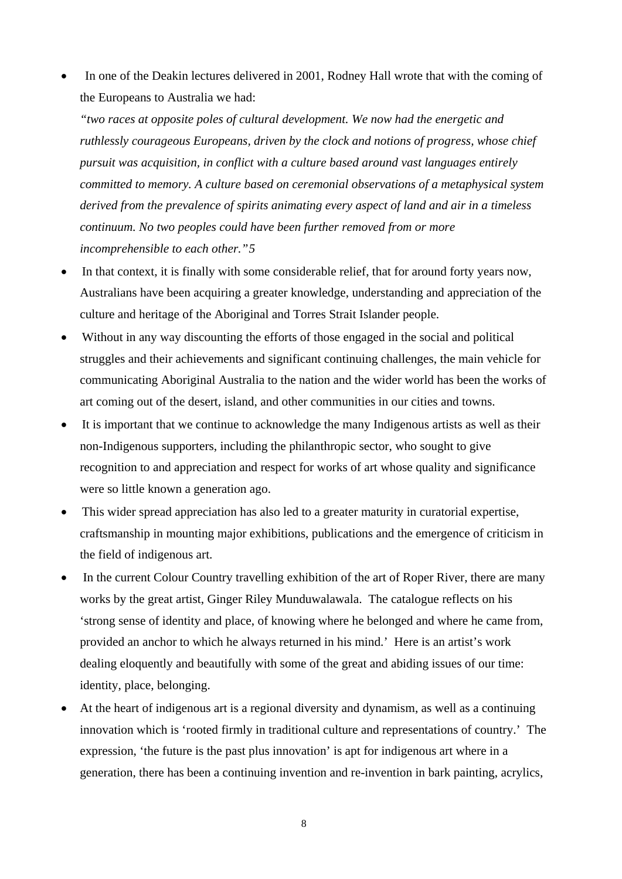In one of the Deakin lectures delivered in 2001, Rodney Hall wrote that with the coming of the Europeans to Australia we had:

*"two races at opposite poles of cultural development. We now had the energetic and ruthlessly courageous Europeans, driven by the clock and notions of progress, whose chief pursuit was acquisition, in conflict with a culture based around vast languages entirely committed to memory. A culture based on ceremonial observations of a metaphysical system derived from the prevalence of spirits animating every aspect of land and air in a timeless continuum. No two peoples could have been further removed from or more incomprehensible to each other."[5](#page-14-4)* 

- In that context, it is finally with some considerable relief, that for around forty years now, Australians have been acquiring a greater knowledge, understanding and appreciation of the culture and heritage of the Aboriginal and Torres Strait Islander people.
- Without in any way discounting the efforts of those engaged in the social and political struggles and their achievements and significant continuing challenges, the main vehicle for communicating Aboriginal Australia to the nation and the wider world has been the works of art coming out of the desert, island, and other communities in our cities and towns.
- It is important that we continue to acknowledge the many Indigenous artists as well as their non-Indigenous supporters, including the philanthropic sector, who sought to give recognition to and appreciation and respect for works of art whose quality and significance were so little known a generation ago.
- This wider spread appreciation has also led to a greater maturity in curatorial expertise, craftsmanship in mounting major exhibitions, publications and the emergence of criticism in the field of indigenous art.
- In the current Colour Country travelling exhibition of the art of Roper River, there are many works by the great artist, Ginger Riley Munduwalawala. The catalogue reflects on his 'strong sense of identity and place, of knowing where he belonged and where he came from, provided an anchor to which he always returned in his mind.' Here is an artist's work dealing eloquently and beautifully with some of the great and abiding issues of our time: identity, place, belonging.
- At the heart of indigenous art is a regional diversity and dynamism, as well as a continuing innovation which is 'rooted firmly in traditional culture and representations of country.' The expression, 'the future is the past plus innovation' is apt for indigenous art where in a generation, there has been a continuing invention and re-invention in bark painting, acrylics,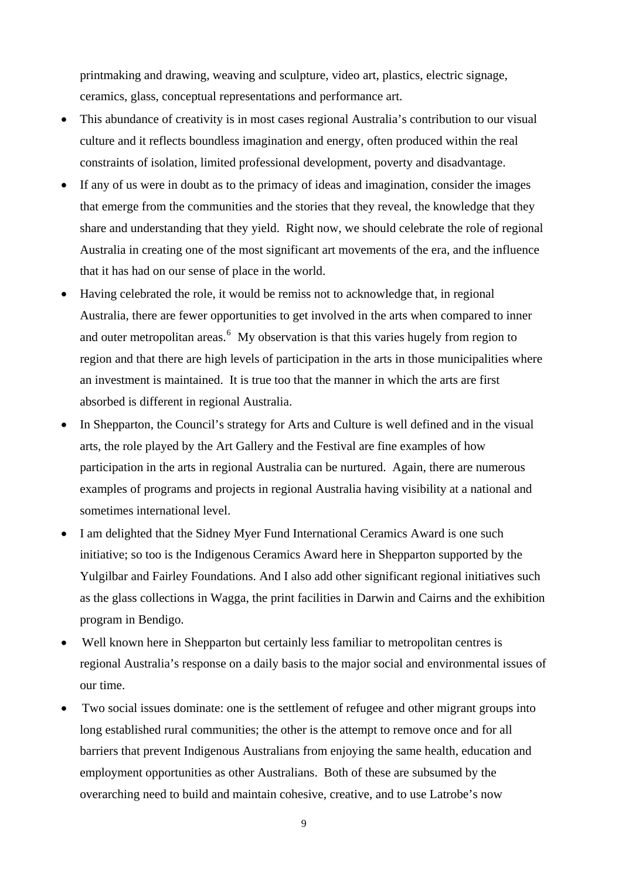printmaking and drawing, weaving and sculpture, video art, plastics, electric signage, ceramics, glass, conceptual representations and performance art.

- This abundance of creativity is in most cases regional Australia's contribution to our visual culture and it reflects boundless imagination and energy, often produced within the real constraints of isolation, limited professional development, poverty and disadvantage.
- If any of us were in doubt as to the primacy of ideas and imagination, consider the images that emerge from the communities and the stories that they reveal, the knowledge that they share and understanding that they yield. Right now, we should celebrate the role of regional Australia in creating one of the most significant art movements of the era, and the influence that it has had on our sense of place in the world.
- Having celebrated the role, it would be remiss not to acknowledge that, in regional Australia, there are fewer opportunities to get involved in the arts when compared to inner and outer metropolitan areas.<sup>[6](#page-14-5)</sup> My observation is that this varies hugely from region to region and that there are high levels of participation in the arts in those municipalities where an investment is maintained. It is true too that the manner in which the arts are first absorbed is different in regional Australia.
- In Shepparton, the Council's strategy for Arts and Culture is well defined and in the visual arts, the role played by the Art Gallery and the Festival are fine examples of how participation in the arts in regional Australia can be nurtured. Again, there are numerous examples of programs and projects in regional Australia having visibility at a national and sometimes international level.
- I am delighted that the Sidney Myer Fund International Ceramics Award is one such initiative; so too is the Indigenous Ceramics Award here in Shepparton supported by the Yulgilbar and Fairley Foundations. And I also add other significant regional initiatives such as the glass collections in Wagga, the print facilities in Darwin and Cairns and the exhibition program in Bendigo.
- Well known here in Shepparton but certainly less familiar to metropolitan centres is regional Australia's response on a daily basis to the major social and environmental issues of our time.
- Two social issues dominate: one is the settlement of refugee and other migrant groups into long established rural communities; the other is the attempt to remove once and for all barriers that prevent Indigenous Australians from enjoying the same health, education and employment opportunities as other Australians. Both of these are subsumed by the overarching need to build and maintain cohesive, creative, and to use Latrobe's now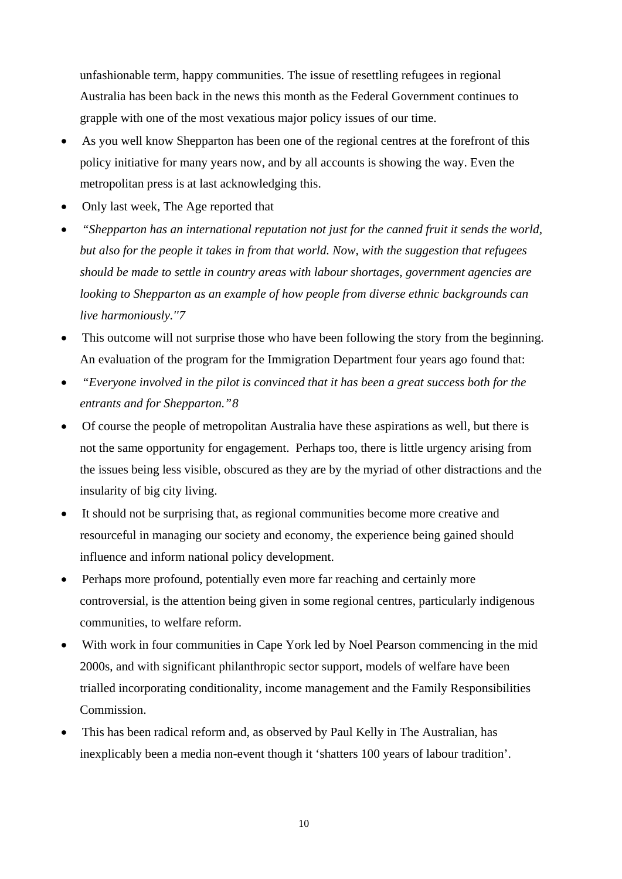unfashionable term, happy communities. The issue of resettling refugees in regional Australia has been back in the news this month as the Federal Government continues to grapple with one of the most vexatious major policy issues of our time.

- As you well know Shepparton has been one of the regional centres at the forefront of this policy initiative for many years now, and by all accounts is showing the way. Even the metropolitan press is at last acknowledging this.
- Only last week, The Age reported that
- *"Shepparton has an international reputation not just for the canned fruit it sends the world, but also for the people it takes in from that world. Now, with the suggestion that refugees should be made to settle in country areas with labour shortages, government agencies are looking to Shepparton as an example of how people from diverse ethnic backgrounds can live harmoniously.'['7](#page-14-6)*
- This outcome will not surprise those who have been following the story from the beginning. An evaluation of the program for the Immigration Department four years ago found that:
- *"Everyone involved in the pilot is convinced that it has been a great success both for the entrants and for Shepparton."[8](#page-14-7)*
- Of course the people of metropolitan Australia have these aspirations as well, but there is not the same opportunity for engagement. Perhaps too, there is little urgency arising from the issues being less visible, obscured as they are by the myriad of other distractions and the insularity of big city living.
- It should not be surprising that, as regional communities become more creative and resourceful in managing our society and economy, the experience being gained should influence and inform national policy development.
- Perhaps more profound, potentially even more far reaching and certainly more controversial, is the attention being given in some regional centres, particularly indigenous communities, to welfare reform.
- With work in four communities in Cape York led by Noel Pearson commencing in the mid 2000s, and with significant philanthropic sector support, models of welfare have been trialled incorporating conditionality, income management and the Family Responsibilities Commission.
- This has been radical reform and, as observed by Paul Kelly in The Australian, has inexplicably been a media non-event though it 'shatters 100 years of labour tradition'.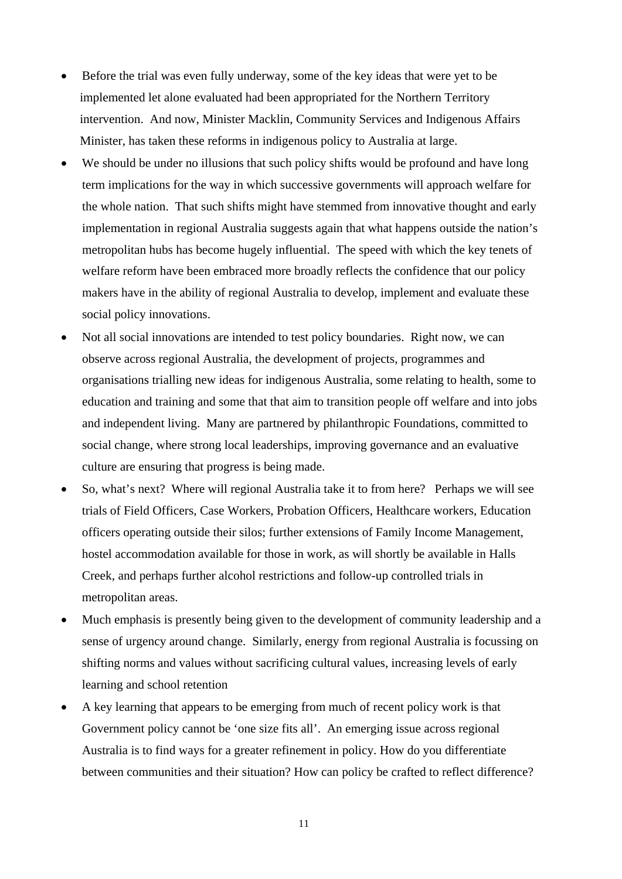- Before the trial was even fully underway, some of the key ideas that were yet to be implemented let alone evaluated had been appropriated for the Northern Territory intervention. And now, Minister Macklin, Community Services and Indigenous Affairs Minister, has taken these reforms in indigenous policy to Australia at large.
- We should be under no illusions that such policy shifts would be profound and have long term implications for the way in which successive governments will approach welfare for the whole nation. That such shifts might have stemmed from innovative thought and early implementation in regional Australia suggests again that what happens outside the nation's metropolitan hubs has become hugely influential. The speed with which the key tenets of welfare reform have been embraced more broadly reflects the confidence that our policy makers have in the ability of regional Australia to develop, implement and evaluate these social policy innovations.
- Not all social innovations are intended to test policy boundaries. Right now, we can observe across regional Australia, the development of projects, programmes and organisations trialling new ideas for indigenous Australia, some relating to health, some to education and training and some that that aim to transition people off welfare and into jobs and independent living. Many are partnered by philanthropic Foundations, committed to social change, where strong local leaderships, improving governance and an evaluative culture are ensuring that progress is being made.
- So, what's next? Where will regional Australia take it to from here? Perhaps we will see trials of Field Officers, Case Workers, Probation Officers, Healthcare workers, Education officers operating outside their silos; further extensions of Family Income Management, hostel accommodation available for those in work, as will shortly be available in Halls Creek, and perhaps further alcohol restrictions and follow-up controlled trials in metropolitan areas.
- Much emphasis is presently being given to the development of community leadership and a sense of urgency around change. Similarly, energy from regional Australia is focussing on shifting norms and values without sacrificing cultural values, increasing levels of early learning and school retention
- A key learning that appears to be emerging from much of recent policy work is that Government policy cannot be 'one size fits all'. An emerging issue across regional Australia is to find ways for a greater refinement in policy. How do you differentiate between communities and their situation? How can policy be crafted to reflect difference?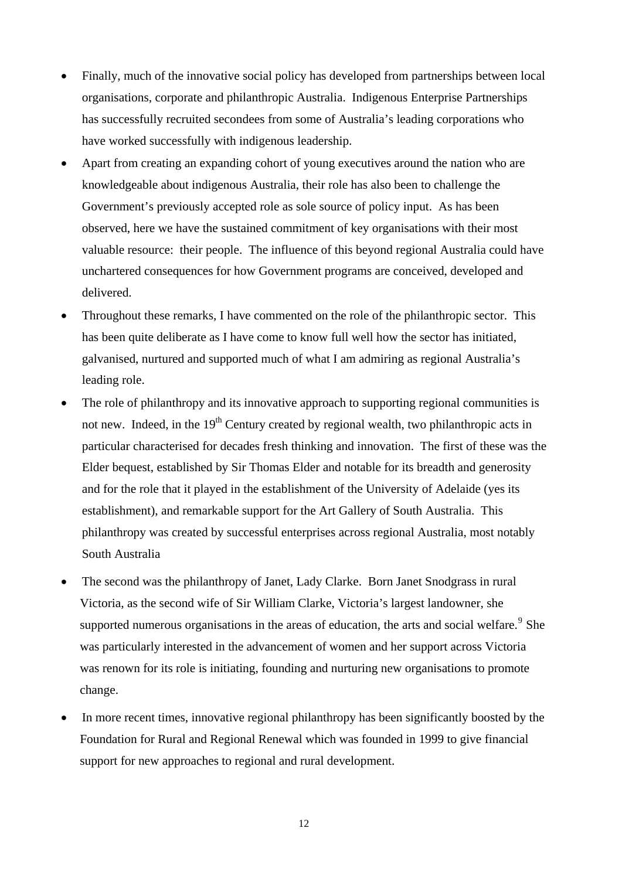- Finally, much of the innovative social policy has developed from partnerships between local organisations, corporate and philanthropic Australia. Indigenous Enterprise Partnerships has successfully recruited secondees from some of Australia's leading corporations who have worked successfully with indigenous leadership.
- Apart from creating an expanding cohort of young executives around the nation who are knowledgeable about indigenous Australia, their role has also been to challenge the Government's previously accepted role as sole source of policy input. As has been observed, here we have the sustained commitment of key organisations with their most valuable resource: their people. The influence of this beyond regional Australia could have unchartered consequences for how Government programs are conceived, developed and delivered.
- Throughout these remarks, I have commented on the role of the philanthropic sector. This has been quite deliberate as I have come to know full well how the sector has initiated, galvanised, nurtured and supported much of what I am admiring as regional Australia's leading role.
- The role of philanthropy and its innovative approach to supporting regional communities is not new. Indeed, in the 19<sup>th</sup> Century created by regional wealth, two philanthropic acts in particular characterised for decades fresh thinking and innovation. The first of these was the Elder bequest, established by Sir Thomas Elder and notable for its breadth and generosity and for the role that it played in the establishment of the University of Adelaide (yes its establishment), and remarkable support for the Art Gallery of South Australia. This philanthropy was created by successful enterprises across regional Australia, most notably South Australia
- The second was the philanthropy of Janet, Lady Clarke. Born Janet Snodgrass in rural Victoria, as the second wife of Sir William Clarke, Victoria's largest landowner, she supported numerous organisations in the areas of education, the arts and social welfare.<sup>[9](#page-14-8)</sup> She was particularly interested in the advancement of women and her support across Victoria was renown for its role is initiating, founding and nurturing new organisations to promote change.
- In more recent times, innovative regional philanthropy has been significantly boosted by the Foundation for Rural and Regional Renewal which was founded in 1999 to give financial support for new approaches to regional and rural development.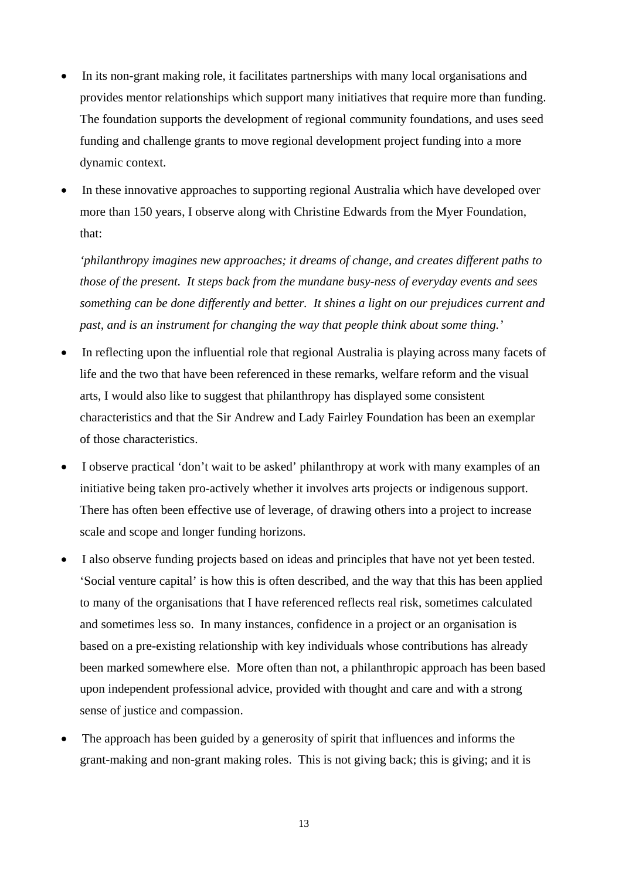- In its non-grant making role, it facilitates partnerships with many local organisations and provides mentor relationships which support many initiatives that require more than funding. The foundation supports the development of regional community foundations, and uses seed funding and challenge grants to move regional development project funding into a more dynamic context.
- In these innovative approaches to supporting regional Australia which have developed over more than 150 years, I observe along with Christine Edwards from the Myer Foundation, that:

*'philanthropy imagines new approaches; it dreams of change, and creates different paths to those of the present. It steps back from the mundane busy-ness of everyday events and sees something can be done differently and better. It shines a light on our prejudices current and past, and is an instrument for changing the way that people think about some thing.'*

- In reflecting upon the influential role that regional Australia is playing across many facets of life and the two that have been referenced in these remarks, welfare reform and the visual arts, I would also like to suggest that philanthropy has displayed some consistent characteristics and that the Sir Andrew and Lady Fairley Foundation has been an exemplar of those characteristics.
- I observe practical 'don't wait to be asked' philanthropy at work with many examples of an initiative being taken pro-actively whether it involves arts projects or indigenous support. There has often been effective use of leverage, of drawing others into a project to increase scale and scope and longer funding horizons.
- I also observe funding projects based on ideas and principles that have not yet been tested. 'Social venture capital' is how this is often described, and the way that this has been applied to many of the organisations that I have referenced reflects real risk, sometimes calculated and sometimes less so. In many instances, confidence in a project or an organisation is based on a pre-existing relationship with key individuals whose contributions has already been marked somewhere else. More often than not, a philanthropic approach has been based upon independent professional advice, provided with thought and care and with a strong sense of justice and compassion.
- The approach has been guided by a generosity of spirit that influences and informs the grant-making and non-grant making roles. This is not giving back; this is giving; and it is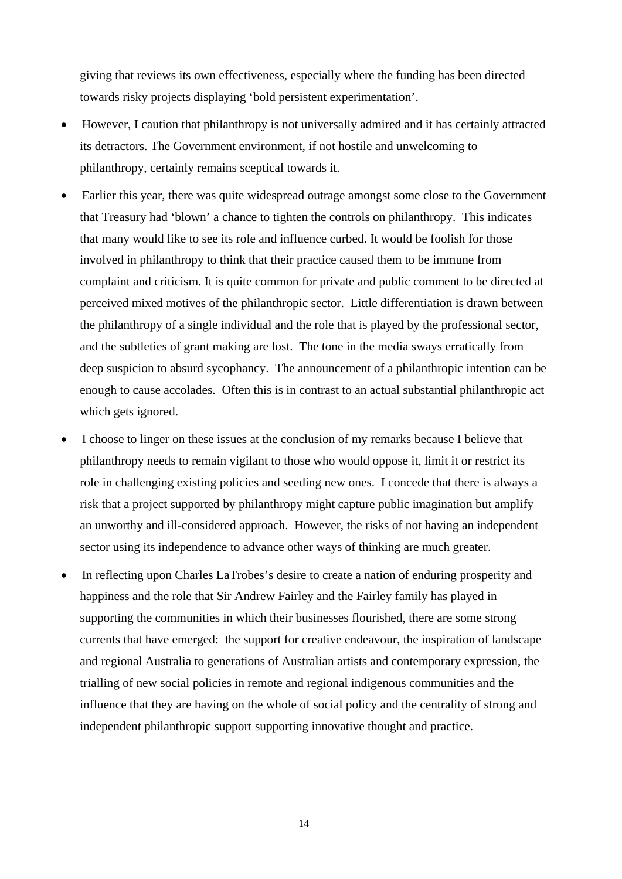giving that reviews its own effectiveness, especially where the funding has been directed towards risky projects displaying 'bold persistent experimentation'.

- However, I caution that philanthropy is not universally admired and it has certainly attracted its detractors. The Government environment, if not hostile and unwelcoming to philanthropy, certainly remains sceptical towards it.
- Earlier this year, there was quite widespread outrage amongst some close to the Government that Treasury had 'blown' a chance to tighten the controls on philanthropy. This indicates that many would like to see its role and influence curbed. It would be foolish for those involved in philanthropy to think that their practice caused them to be immune from complaint and criticism. It is quite common for private and public comment to be directed at perceived mixed motives of the philanthropic sector. Little differentiation is drawn between the philanthropy of a single individual and the role that is played by the professional sector, and the subtleties of grant making are lost. The tone in the media sways erratically from deep suspicion to absurd sycophancy. The announcement of a philanthropic intention can be enough to cause accolades. Often this is in contrast to an actual substantial philanthropic act which gets ignored.
- I choose to linger on these issues at the conclusion of my remarks because I believe that philanthropy needs to remain vigilant to those who would oppose it, limit it or restrict its role in challenging existing policies and seeding new ones. I concede that there is always a risk that a project supported by philanthropy might capture public imagination but amplify an unworthy and ill-considered approach. However, the risks of not having an independent sector using its independence to advance other ways of thinking are much greater.
- In reflecting upon Charles LaTrobes's desire to create a nation of enduring prosperity and happiness and the role that Sir Andrew Fairley and the Fairley family has played in supporting the communities in which their businesses flourished, there are some strong currents that have emerged: the support for creative endeavour, the inspiration of landscape and regional Australia to generations of Australian artists and contemporary expression, the trialling of new social policies in remote and regional indigenous communities and the influence that they are having on the whole of social policy and the centrality of strong and independent philanthropic support supporting innovative thought and practice.